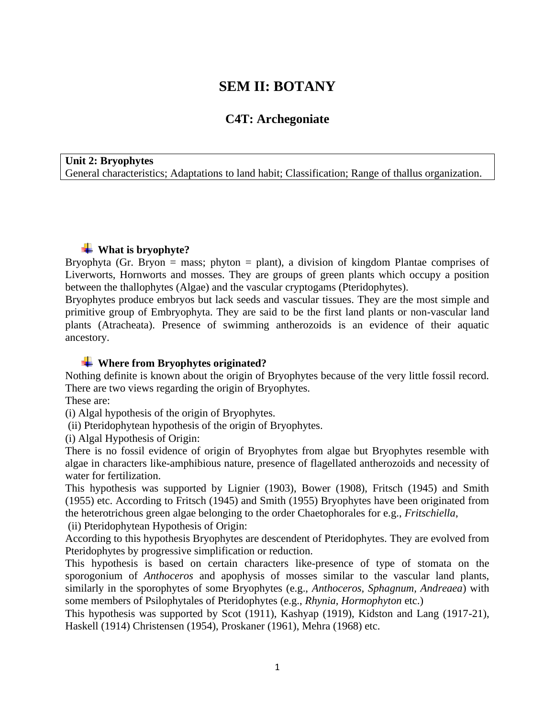# **SEM II: BOTANY**

# **C4T: Archegoniate**

**Unit 2: Bryophytes** General characteristics; Adaptations to land habit; Classification; Range of thallus organization.

## **What is bryophyte?**

Bryophyta (Gr. Bryon = mass; phyton = plant), a division of kingdom Plantae comprises of Liverworts, Hornworts and mosses. They are groups of green plants which occupy a position between the thallophytes (Algae) and the vascular cryptogams (Pteridophytes).

Bryophytes produce embryos but lack seeds and vascular tissues. They are the most simple and primitive group of Embryophyta. They are said to be the first land plants or non-vascular land plants (Atracheata). Presence of swimming antherozoids is an evidence of their aquatic ancestory.

#### **Where from Bryophytes originated?**

Nothing definite is known about the origin of Bryophytes because of the very little fossil record. There are two views regarding the origin of Bryophytes.

These are:

(i) Algal hypothesis of the origin of Bryophytes.

(ii) Pteridophytean hypothesis of the origin of Bryophytes.

(i) Algal Hypothesis of Origin:

There is no fossil evidence of origin of Bryophytes from algae but Bryophytes resemble with algae in characters like-amphibious nature, presence of flagellated antherozoids and necessity of water for fertilization.

This hypothesis was supported by Lignier (1903), Bower (1908), Fritsch (1945) and Smith (1955) etc. According to Fritsch (1945) and Smith (1955) Bryophytes have been originated from the heterotrichous green algae belonging to the order Chaetophorales for e.g., *Fritschiella*,

(ii) Pteridophytean Hypothesis of Origin:

According to this hypothesis Bryophytes are descendent of Pteridophytes. They are evolved from Pteridophytes by progressive simplification or reduction.

This hypothesis is based on certain characters like-presence of type of stomata on the sporogonium of *Anthoceros* and apophysis of mosses similar to the vascular land plants, similarly in the sporophytes of some Bryophytes (e.g., *Anthoceros, Sphagnum, Andreaea*) with some members of Psilophytales of Pteridophytes (e.g., *Rhynia, Hormophyton* etc.)

This hypothesis was supported by Scot (1911), Kashyap (1919), Kidston and Lang (1917-21), Haskell (1914) Christensen (1954), Proskaner (1961), Mehra (1968) etc.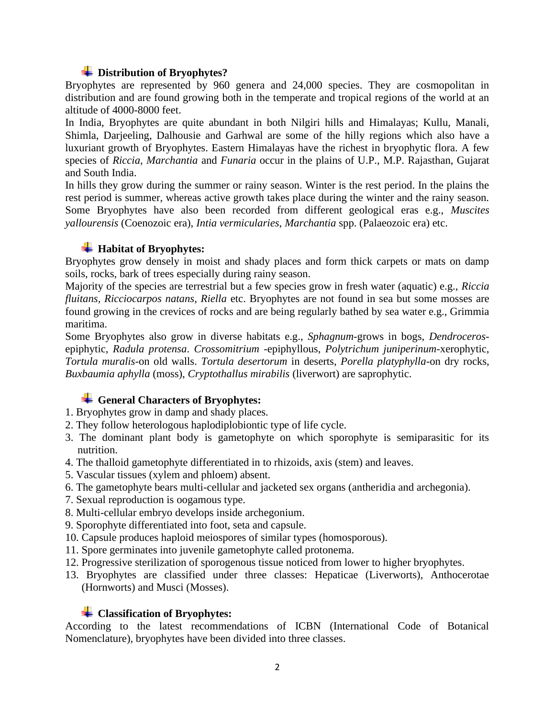## **Distribution of Bryophytes?**

Bryophytes are represented by 960 genera and 24,000 species. They are cosmopolitan in distribution and are found growing both in the temperate and tropical regions of the world at an altitude of 4000-8000 feet.

In India, Bryophytes are quite abundant in both Nilgiri hills and Himalayas; Kullu, Manali, Shimla, Darjeeling, Dalhousie and Garhwal are some of the hilly regions which also have a luxuriant growth of Bryophytes. Eastern Himalayas have the richest in bryophytic flora. A few species of *Riccia, Marchantia* and *Funaria* occur in the plains of U.P., M.P. Rajasthan, Gujarat and South India.

In hills they grow during the summer or rainy season. Winter is the rest period. In the plains the rest period is summer, whereas active growth takes place during the winter and the rainy season. Some Bryophytes have also been recorded from different geological eras e.g., *Muscites yallourensis* (Coenozoic era), *Intia vermicularies*, *Marchantia* spp. (Palaeozoic era) etc.

## $\text{H}$  **Habitat of Bryophytes:**

Bryophytes grow densely in moist and shady places and form thick carpets or mats on damp soils, rocks, bark of trees especially during rainy season.

Majority of the species are terrestrial but a few species grow in fresh water (aquatic) e.g., *Riccia fluitans, Ricciocarpos natans, Riella* etc. Bryophytes are not found in sea but some mosses are found growing in the crevices of rocks and are being regularly bathed by sea water e.g., Grimmia maritima.

Some Bryophytes also grow in diverse habitats e.g., *Sphagnum*-grows in bogs, *Dendroceros*epiphytic, *Radula protensa*. *Crossomitrium* -epiphyllous, *Polytrichum juniperinum*-xerophytic, *Tortula muralis*-on old walls. *Tortula desertorum* in deserts, *Porella platyphylla*-on dry rocks, *Buxbaumia aphylla* (moss), *Cryptothallus mirabilis* (liverwort) are saprophytic.

## **General Characters of Bryophytes:**

- 1. Bryophytes grow in damp and shady places.
- 2. They follow heterologous haplodiplobiontic type of life cycle.
- 3. The dominant plant body is gametophyte on which sporophyte is semiparasitic for its nutrition.
- 4. The thalloid gametophyte differentiated in to rhizoids, axis (stem) and leaves.
- 5. Vascular tissues (xylem and phloem) absent.
- 6. The gametophyte bears multi-cellular and jacketed sex organs (antheridia and archegonia).
- 7. Sexual reproduction is oogamous type.
- 8. Multi-cellular embryo develops inside archegonium.
- 9. Sporophyte differentiated into foot, seta and capsule.
- 10. Capsule produces haploid meiospores of similar types (homosporous).
- 11. Spore germinates into juvenile gametophyte called protonema.
- 12. Progressive sterilization of sporogenous tissue noticed from lower to higher bryophytes.
- 13. Bryophytes are classified under three classes: Hepaticae (Liverworts), Anthocerotae (Hornworts) and Musci (Mosses).

#### **Classification of Bryophytes:**

According to the latest recommendations of ICBN (International Code of Botanical Nomenclature), bryophytes have been divided into three classes.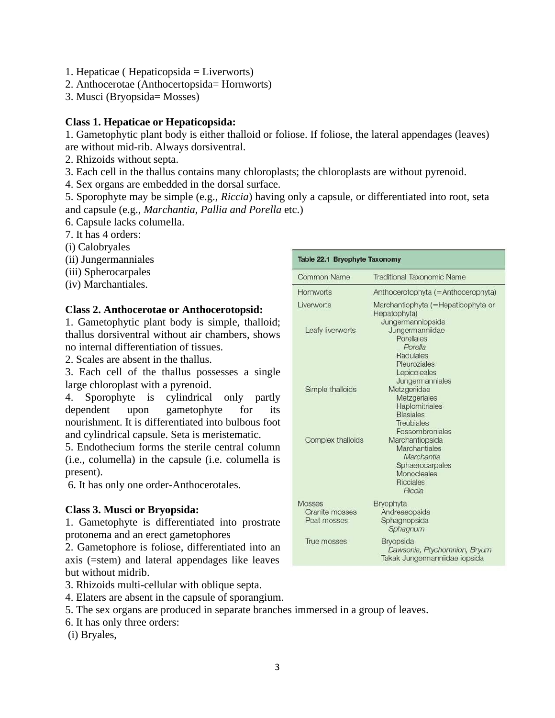- 1. Hepaticae ( Hepaticopsida = Liverworts)
- 2. Anthocerotae (Anthocertopsida= Hornworts)
- 3. Musci (Bryopsida= Mosses)

#### **Class 1. Hepaticae or Hepaticopsida:**

1. Gametophytic plant body is either thalloid or foliose. If foliose, the lateral appendages (leaves) are without mid-rib. Always dorsiventral.

- 2. Rhizoids without septa.
- 3. Each cell in the thallus contains many chloroplasts; the chloroplasts are without pyrenoid.
- 4. Sex organs are embedded in the dorsal surface.

5. Sporophyte may be simple (e.g., *Riccia*) having only a capsule, or differentiated into root, seta and capsule (e.g., *Marchantia, Pallia and Porella* etc.)

- 6. Capsule lacks columella.
- 7. It has 4 orders:
- (i) Calobryales
- (ii) Jungermanniales
- (iii) Spherocarpales
- (iv) Marchantiales.

#### **Class 2. Anthocerotae or Anthocerotopsid:**

1. Gametophytic plant body is simple, thalloid; thallus dorsiventral without air chambers, shows no internal differentiation of tissues.

2. Scales are absent in the thallus.

3. Each cell of the thallus possesses a single large chloroplast with a pyrenoid.

4. Sporophyte is cylindrical only partly dependent upon gametophyte for its nourishment. It is differentiated into bulbous foot and cylindrical capsule. Seta is meristematic.

5. Endothecium forms the sterile central column (i.e., columella) in the capsule (i.e. columella is present).

6. It has only one order-Anthocerotales.

#### **Class 3. Musci or Bryopsida:**

1. Gametophyte is differentiated into prostrate protonema and an erect gametophores

2. Gametophore is foliose, differentiated into an axis (=stem) and lateral appendages like leaves but without midrib.

3. Rhizoids multi-cellular with oblique septa.

- 4. Elaters are absent in the capsule of sporangium.
- 5. The sex organs are produced in separate branches immersed in a group of leaves.
- 6. It has only three orders:

(i) Bryales,

| Table 22.1 Bryophyte Taxonomy                  |                                                                                                                       |
|------------------------------------------------|-----------------------------------------------------------------------------------------------------------------------|
| Common Name                                    | <b>Traditional Taxonomic Name</b>                                                                                     |
| Hornworts                                      | Anthocerotophyta (=Anthocerophyta)                                                                                    |
| Liverworts                                     | Marchantiophyta (=Hepaticophyta or<br>Hepatophyta)<br>Jungermanniopsida                                               |
| Leafy liverworts                               | Jungermanniidae<br>Porellales<br>Porella<br>Radulales<br>Pleuroziales<br>Lepicoleales<br>Jungermanniales              |
| Simple thalloids                               | Metzgeriidae<br>Metzgeriales<br>Haplomitriales<br><b>Blasiales</b><br><b>Treubiales</b><br>Fossombroniales            |
| Complex thalloids                              | Marchantiopsida<br><b>Marchantiales</b><br>Marchantia<br>Sphaerocarpales<br>Monocleales<br><b>Ricciales</b><br>Riccia |
| <b>Mosses</b><br>Granite mosses<br>Peat mosses | <b>Bryophyta</b><br>Andreaeopsida<br>Sphagnopsida<br>Sphagnum                                                         |
| True mosses                                    | <b>Bryopsida</b><br>Dawsonia, Ptychomnion, Bryum<br>Takak Jungermanniidae iopsida                                     |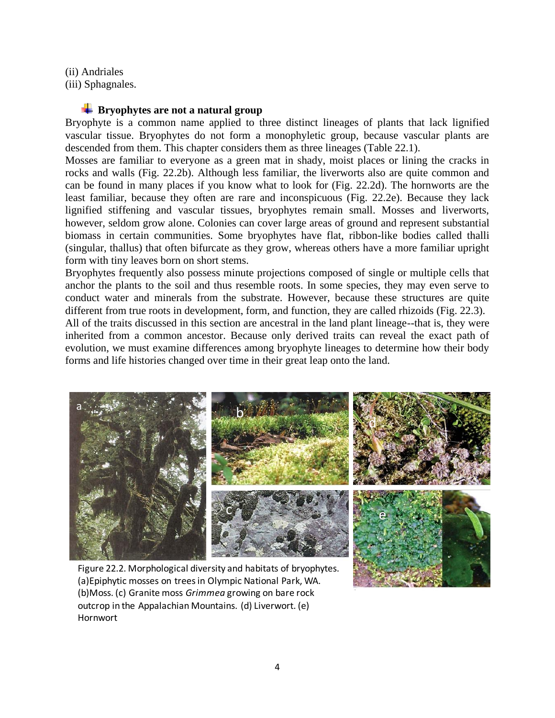(ii) Andriales

(iii) Sphagnales.

#### **EXP** Bryophytes are not a natural group

Bryophyte is a common name applied to three distinct lineages of plants that lack lignified vascular tissue. Bryophytes do not form a monophyletic group, because vascular plants are descended from them. This chapter considers them as three lineages (Table 22.1).

Mosses are familiar to everyone as a green mat in shady, moist places or lining the cracks in rocks and walls (Fig. 22.2b). Although less familiar, the liverworts also are quite common and can be found in many places if you know what to look for (Fig. 22.2d). The hornworts are the least familiar, because they often are rare and inconspicuous (Fig. 22.2e). Because they lack lignified stiffening and vascular tissues, bryophytes remain small. Mosses and liverworts, however, seldom grow alone. Colonies can cover large areas of ground and represent substantial biomass in certain communities. Some bryophytes have flat, ribbon-like bodies called thalli (singular, thallus) that often bifurcate as they grow, whereas others have a more familiar upright form with tiny leaves born on short stems.

Bryophytes frequently also possess minute projections composed of single or multiple cells that anchor the plants to the soil and thus resemble roots. In some species, they may even serve to conduct water and minerals from the substrate. However, because these structures are quite different from true roots in development, form, and function, they are called rhizoids (Fig. 22.3). All of the traits discussed in this section are ancestral in the land plant lineage--that is, they were

inherited from a common ancestor. Because only derived traits can reveal the exact path of evolution, we must examine differences among bryophyte lineages to determine how their body forms and life histories changed over time in their great leap onto the land.



Figure 22.2. Morphological diversity and habitats of bryophytes. (a)Epiphytic mosses on trees in Olympic National Park, WA. (b)Moss. (c) Granite moss *Grimmea* growing on bare rock outcrop in the Appalachian Mountains. (d) Liverwort. (e) Hornwort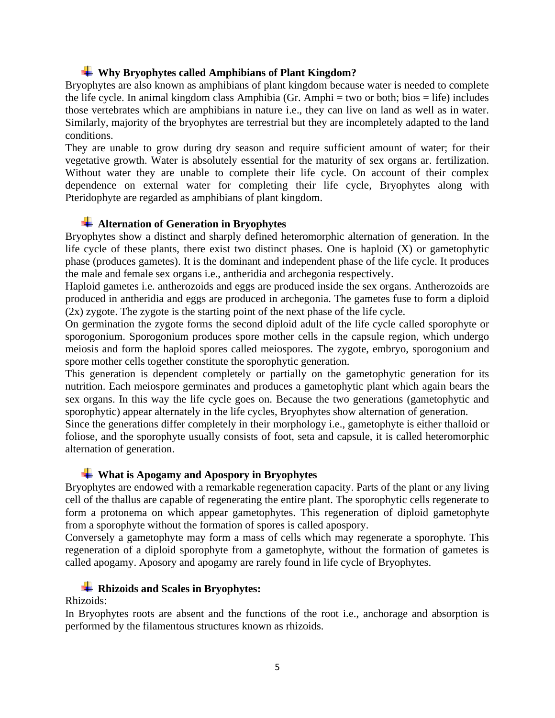#### **Why Bryophytes called Amphibians of Plant Kingdom?**

Bryophytes are also known as amphibians of plant kingdom because water is needed to complete the life cycle. In animal kingdom class Amphibia (Gr. Amphi = two or both; bios = life) includes those vertebrates which are amphibians in nature i.e., they can live on land as well as in water. Similarly, majority of the bryophytes are terrestrial but they are incompletely adapted to the land conditions.

They are unable to grow during dry season and require sufficient amount of water; for their vegetative growth. Water is absolutely essential for the maturity of sex organs ar. fertilization. Without water they are unable to complete their life cycle. On account of their complex dependence on external water for completing their life cycle, Bryophytes along with Pteridophyte are regarded as amphibians of plant kingdom.

#### **Alternation of Generation in Bryophytes**

Bryophytes show a distinct and sharply defined heteromorphic alternation of generation. In the life cycle of these plants, there exist two distinct phases. One is haploid  $(X)$  or gametophytic phase (produces gametes). It is the dominant and independent phase of the life cycle. It produces the male and female sex organs i.e., antheridia and archegonia respectively.

Haploid gametes i.e. antherozoids and eggs are produced inside the sex organs. Antherozoids are produced in antheridia and eggs are produced in archegonia. The gametes fuse to form a diploid (2x) zygote. The zygote is the starting point of the next phase of the life cycle.

On germination the zygote forms the second diploid adult of the life cycle called sporophyte or sporogonium. Sporogonium produces spore mother cells in the capsule region, which undergo meiosis and form the haploid spores called meiospores. The zygote, embryo, sporogonium and spore mother cells together constitute the sporophytic generation.

This generation is dependent completely or partially on the gametophytic generation for its nutrition. Each meiospore germinates and produces a gametophytic plant which again bears the sex organs. In this way the life cycle goes on. Because the two generations (gametophytic and sporophytic) appear alternately in the life cycles, Bryophytes show alternation of generation.

Since the generations differ completely in their morphology i.e., gametophyte is either thalloid or foliose, and the sporophyte usually consists of foot, seta and capsule, it is called heteromorphic alternation of generation.

#### **What is Apogamy and Apospory in Bryophytes**

Bryophytes are endowed with a remarkable regeneration capacity. Parts of the plant or any living cell of the thallus are capable of regenerating the entire plant. The sporophytic cells regenerate to form a protonema on which appear gametophytes. This regeneration of diploid gametophyte from a sporophyte without the formation of spores is called apospory.

Conversely a gametophyte may form a mass of cells which may regenerate a sporophyte. This regeneration of a diploid sporophyte from a gametophyte, without the formation of gametes is called apogamy. Aposory and apogamy are rarely found in life cycle of Bryophytes.

#### **Rhizoids and Scales in Bryophytes:**

Rhizoids:

In Bryophytes roots are absent and the functions of the root i.e., anchorage and absorption is performed by the filamentous structures known as rhizoids.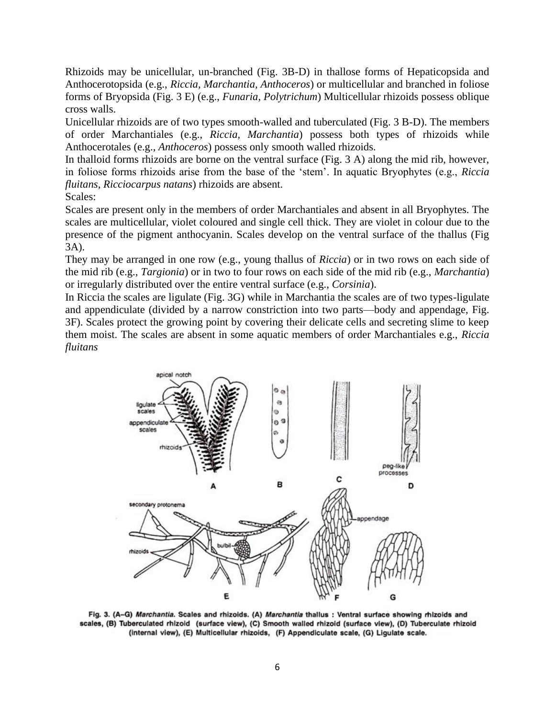Rhizoids may be unicellular, un-branched (Fig. 3B-D) in thallose forms of Hepaticopsida and Anthocerotopsida (e.g., *Riccia, Marchantia, Anthoceros*) or multicellular and branched in foliose forms of Bryopsida (Fig. 3 E) (e.g., *Funaria, Polytrichum*) Multicellular rhizoids possess oblique cross walls.

Unicellular rhizoids are of two types smooth-walled and tuberculated (Fig. 3 B-D). The members of order Marchantiales (e.g., *Riccia, Marchantia*) possess both types of rhizoids while Anthocerotales (e.g., *Anthoceros*) possess only smooth walled rhizoids.

In thalloid forms rhizoids are borne on the ventral surface (Fig. 3 A) along the mid rib, however, in foliose forms rhizoids arise from the base of the 'stem'. In aquatic Bryophytes (e.g., *Riccia fluitans, Ricciocarpus natans*) rhizoids are absent.

Scales:

Scales are present only in the members of order Marchantiales and absent in all Bryophytes. The scales are multicellular, violet coloured and single cell thick. They are violet in colour due to the presence of the pigment anthocyanin. Scales develop on the ventral surface of the thallus (Fig 3A).

They may be arranged in one row (e.g., young thallus of *Riccia*) or in two rows on each side of the mid rib (e.g., *Targionia*) or in two to four rows on each side of the mid rib (e.g., *Marchantia*) or irregularly distributed over the entire ventral surface (e.g., *Corsinia*).

In Riccia the scales are ligulate (Fig. 3G) while in Marchantia the scales are of two types-ligulate and appendiculate (divided by a narrow constriction into two parts—body and appendage, Fig. 3F). Scales protect the growing point by covering their delicate cells and secreting slime to keep them moist. The scales are absent in some aquatic members of order Marchantiales e.g., *Riccia fluitans*



Fig. 3. (A-G) Marchantia. Scales and rhizoids. (A) Marchantia thallus : Ventral surface showing rhizoids and scales, (B) Tuberculated rhizoid (surface view), (C) Smooth walled rhizoid (surface view), (D) Tuberculate rhizoid (internal view), (E) Multicellular rhizoids, (F) Appendiculate scale, (G) Ligulate scale.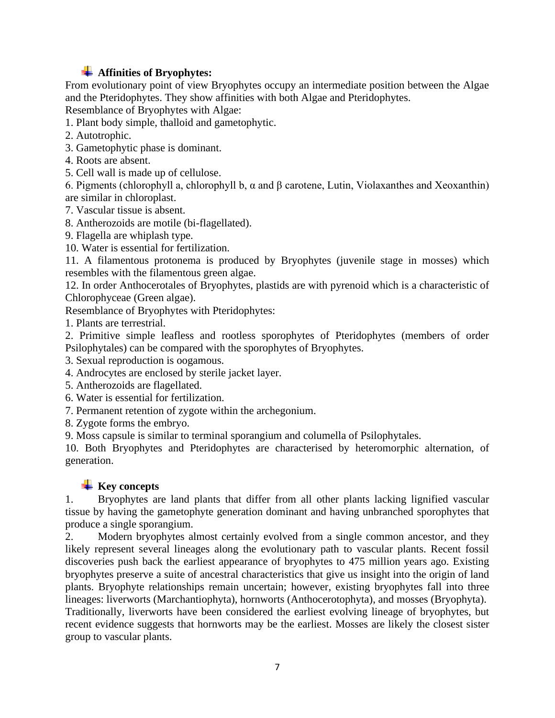# **Affinities of Bryophytes:**

From evolutionary point of view Bryophytes occupy an intermediate position between the Algae and the Pteridophytes. They show affinities with both Algae and Pteridophytes.

Resemblance of Bryophytes with Algae:

1. Plant body simple, thalloid and gametophytic.

2. Autotrophic.

- 3. Gametophytic phase is dominant.
- 4. Roots are absent.
- 5. Cell wall is made up of cellulose.

6. Pigments (chlorophyll a, chlorophyll b, α and β carotene, Lutin, Violaxanthes and Xeoxanthin) are similar in chloroplast.

7. Vascular tissue is absent.

8. Antherozoids are motile (bi-flagellated).

9. Flagella are whiplash type.

10. Water is essential for fertilization.

11. A filamentous protonema is produced by Bryophytes (juvenile stage in mosses) which resembles with the filamentous green algae.

12. In order Anthocerotales of Bryophytes, plastids are with pyrenoid which is a characteristic of Chlorophyceae (Green algae).

Resemblance of Bryophytes with Pteridophytes:

1. Plants are terrestrial.

2. Primitive simple leafless and rootless sporophytes of Pteridophytes (members of order Psilophytales) can be compared with the sporophytes of Bryophytes.

3. Sexual reproduction is oogamous.

4. Androcytes are enclosed by sterile jacket layer.

- 5. Antherozoids are flagellated.
- 6. Water is essential for fertilization.
- 7. Permanent retention of zygote within the archegonium.

8. Zygote forms the embryo.

9. Moss capsule is similar to terminal sporangium and columella of Psilophytales.

10. Both Bryophytes and Pteridophytes are characterised by heteromorphic alternation, of generation.

#### **Key concepts**

1. Bryophytes are land plants that differ from all other plants lacking lignified vascular tissue by having the gametophyte generation dominant and having unbranched sporophytes that produce a single sporangium.

2. Modern bryophytes almost certainly evolved from a single common ancestor, and they likely represent several lineages along the evolutionary path to vascular plants. Recent fossil discoveries push back the earliest appearance of bryophytes to 475 million years ago. Existing bryophytes preserve a suite of ancestral characteristics that give us insight into the origin of land plants. Bryophyte relationships remain uncertain; however, existing bryophytes fall into three lineages: liverworts (Marchantiophyta), hornworts (Anthocerotophyta), and mosses (Bryophyta). Traditionally, liverworts have been considered the earliest evolving lineage of bryophytes, but recent evidence suggests that hornworts may be the earliest. Mosses are likely the closest sister group to vascular plants.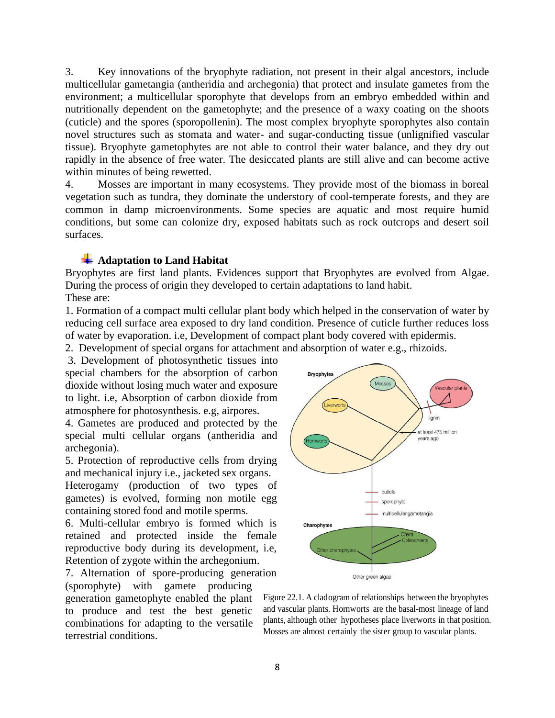3. Key innovations of the bryophyte radiation, not present in their algal ancestors, include multicellular gametangia (antheridia and archegonia) that protect and insulate gametes from the environment; a multicellular sporophyte that develops from an embryo embedded within and nutritionally dependent on the gametophyte; and the presence of a waxy coating on the shoots (cuticle) and the spores (sporopollenin). The most complex bryophyte sporophytes also contain novel structures such as stomata and water- and sugar-conducting tissue (unlignified vascular tissue). Bryophyte gametophytes are not able to control their water balance, and they dry out rapidly in the absence of free water. The desiccated plants are still alive and can become active within minutes of being rewetted.

4. Mosses are important in many ecosystems. They provide most of the biomass in boreal vegetation such as tundra, they dominate the understory of cool-temperate forests, and they are common in damp microenvironments. Some species are aquatic and most require humid conditions, but some can colonize dry, exposed habitats such as rock outcrops and desert soil surfaces.

#### $\overline{\phantom{a}}$  **Adaptation to Land Habitat**

Bryophytes are first land plants. Evidences support that Bryophytes are evolved from Algae. During the process of origin they developed to certain adaptations to land habit. These are:

1. Formation of a compact multi cellular plant body which helped in the conservation of water by reducing cell surface area exposed to dry land condition. Presence of cuticle further reduces loss of water by evaporation. i.e, Development of compact plant body covered with epidermis.

2. Development of special organs for attachment and absorption of water e.g., rhizoids.

3. Development of photosynthetic tissues into special chambers for the absorption of carbon dioxide without losing much water and exposure to light. i.e, Absorption of carbon dioxide from atmosphere for photosynthesis. e.g, airpores.

4. Gametes are produced and protected by the special multi cellular organs (antheridia and archegonia).

5. Protection of reproductive cells from drying and mechanical injury i.e., jacketed sex organs.

Heterogamy (production of two types of gametes) is evolved, forming non motile egg containing stored food and motile sperms.

6. Multi-cellular embryo is formed which is retained and protected inside the female reproductive body during its development, i.e, Retention of zygote within the archegonium.

7. Alternation of spore-producing generation (sporophyte) with gamete producing generation gametophyte enabled the plant to produce and test the best genetic combinations for adapting to the versatile terrestrial conditions.



Figure 22.1. A cladogram of relationships between the bryophytes and vascular plants. Hornworts are the basal-most lineage of land plants, although other hypotheses place liverworts in that position. Mosses are almost certainly the sister group to vascular plants.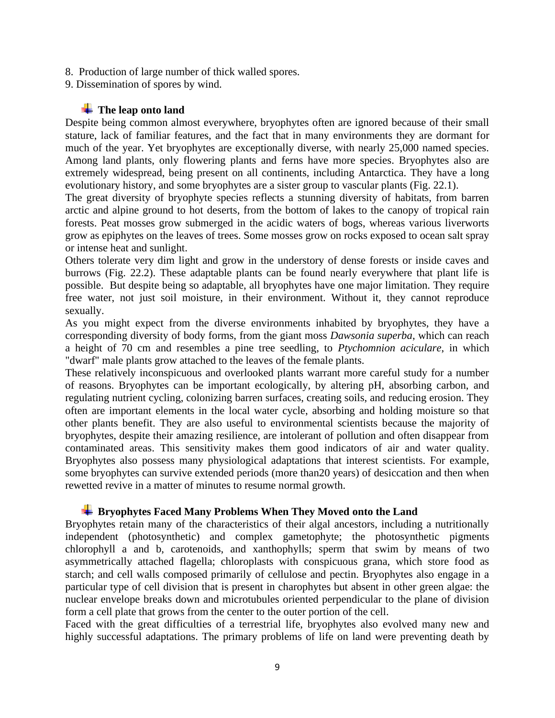- 8. Production of large number of thick walled spores.
- 9. Dissemination of spores by wind.

#### **The leap onto land**

Despite being common almost everywhere, bryophytes often are ignored because of their small stature, lack of familiar features, and the fact that in many environments they are dormant for much of the year. Yet bryophytes are exceptionally diverse, with nearly 25,000 named species. Among land plants, only flowering plants and ferns have more species. Bryophytes also are extremely widespread, being present on all continents, including Antarctica. They have a long evolutionary history, and some bryophytes are a sister group to vascular plants (Fig. 22.1).

The great diversity of bryophyte species reflects a stunning diversity of habitats, from barren arctic and alpine ground to hot deserts, from the bottom of lakes to the canopy of tropical rain forests. Peat mosses grow submerged in the acidic waters of bogs, whereas various liverworts grow as epiphytes on the leaves of trees. Some mosses grow on rocks exposed to ocean salt spray or intense heat and sunlight.

Others tolerate very dim light and grow in the understory of dense forests or inside caves and burrows (Fig. 22.2). These adaptable plants can be found nearly everywhere that plant life is possible. But despite being so adaptable, all bryophytes have one major limitation. They require free water, not just soil moisture, in their environment. Without it, they cannot reproduce sexually.

As you might expect from the diverse environments inhabited by bryophytes, they have a corresponding diversity of body forms, from the giant moss *Dawsonia superba*, which can reach a height of 70 cm and resembles a pine tree seedling, to *Ptychomnion aciculare*, in which "dwarf" male plants grow attached to the leaves of the female plants.

These relatively inconspicuous and overlooked plants warrant more careful study for a number of reasons. Bryophytes can be important ecologically, by altering pH, absorbing carbon, and regulating nutrient cycling, colonizing barren surfaces, creating soils, and reducing erosion. They often are important elements in the local water cycle, absorbing and holding moisture so that other plants benefit. They are also useful to environmental scientists because the majority of bryophytes, despite their amazing resilience, are intolerant of pollution and often disappear from contaminated areas. This sensitivity makes them good indicators of air and water quality. Bryophytes also possess many physiological adaptations that interest scientists. For example, some bryophytes can survive extended periods (more than20 years) of desiccation and then when rewetted revive in a matter of minutes to resume normal growth.

#### **Bryophytes Faced Many Problems When They Moved onto the Land**

Bryophytes retain many of the characteristics of their algal ancestors, including a nutritionally independent (photosynthetic) and complex gametophyte; the photosynthetic pigments chlorophyll a and b, carotenoids, and xanthophylls; sperm that swim by means of two asymmetrically attached flagella; chloroplasts with conspicuous grana, which store food as starch; and cell walls composed primarily of cellulose and pectin. Bryophytes also engage in a particular type of cell division that is present in charophytes but absent in other green algae: the nuclear envelope breaks down and microtubules oriented perpendicular to the plane of division form a cell plate that grows from the center to the outer portion of the cell.

Faced with the great difficulties of a terrestrial life, bryophytes also evolved many new and highly successful adaptations. The primary problems of life on land were preventing death by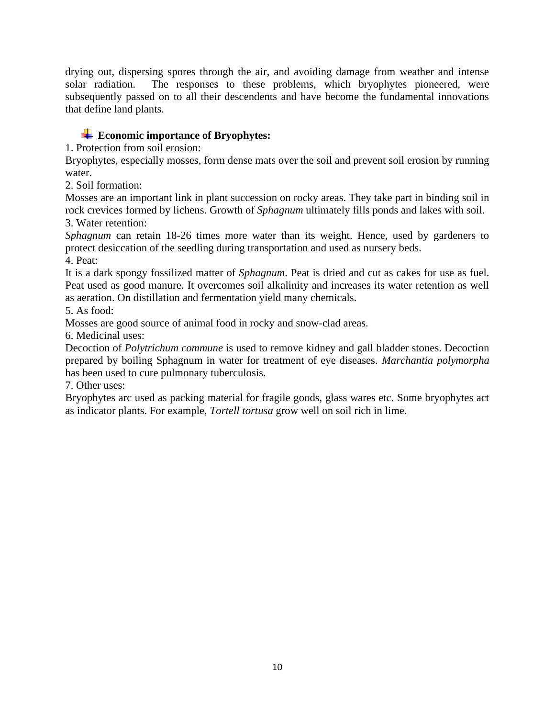drying out, dispersing spores through the air, and avoiding damage from weather and intense solar radiation. The responses to these problems, which bryophytes pioneered, were subsequently passed on to all their descendents and have become the fundamental innovations that define land plants.

# **Example 1.5 Example 1.5 Example 1.5 Example 1.5 Example 1.5 Example 1.5 Example 1.6 Example 1.6 Example 1.6 Example 1.6 Example 1.6 Example 1.6 Example 1.6 Example 1.6 Example 1.6 Example 1.6 Example 1.6 Example 1.6 Examp**

1. Protection from soil erosion:

Bryophytes, especially mosses, form dense mats over the soil and prevent soil erosion by running water.

2. Soil formation:

Mosses are an important link in plant succession on rocky areas. They take part in binding soil in rock crevices formed by lichens. Growth of *Sphagnum* ultimately fills ponds and lakes with soil. 3. Water retention:

*Sphagnum* can retain 18-26 times more water than its weight. Hence, used by gardeners to protect desiccation of the seedling during transportation and used as nursery beds.

4. Peat:

It is a dark spongy fossilized matter of *Sphagnum*. Peat is dried and cut as cakes for use as fuel. Peat used as good manure. It overcomes soil alkalinity and increases its water retention as well as aeration. On distillation and fermentation yield many chemicals.

5. As food:

Mosses are good source of animal food in rocky and snow-clad areas.

6. Medicinal uses:

Decoction of *Polytrichum commune* is used to remove kidney and gall bladder stones. Decoction prepared by boiling Sphagnum in water for treatment of eye diseases. *Marchantia polymorpha* has been used to cure pulmonary tuberculosis.

7. Other uses:

Bryophytes arc used as packing material for fragile goods, glass wares etc. Some bryophytes act as indicator plants. For example, *Tortell tortusa* grow well on soil rich in lime.